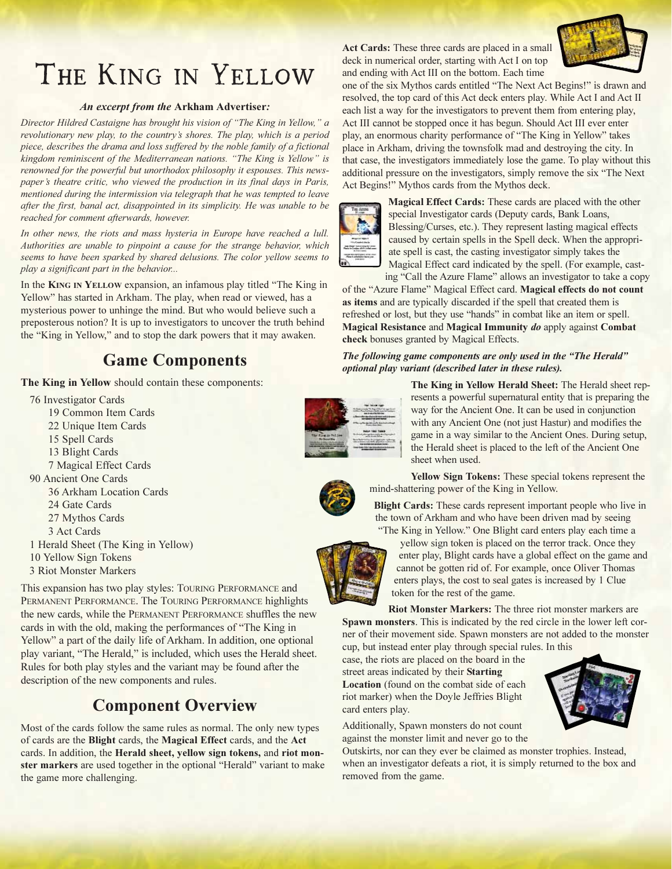# THE KING IN YELLOW

#### An excerpt from the Arkham Advertiser:

Director Hildred Castaigne has brought his vision of "The King in Yellow," a revolutionary new play, to the country's shores. The play, which is a period piece, describes the drama and loss suffered by the noble family of a fictional kingdom reminiscent of the Mediterranean nations. "The King is Yellow" is renowned for the powerful but unorthodox philosophy it espouses. This newspaper's theatre critic, who viewed the production in its final days in Paris, mentioned during the intermission via telegraph that he was tempted to leave after the first, banal act, disappointed in its simplicity. He was unable to be reached for comment afterwards, however.

In other news, the riots and mass hysteria in Europe have reached a lull. Authorities are unable to pinpoint a cause for the strange behavior, which seems to have been sparked by shared delusions. The color yellow seems to play a significant part in the behavior...

In the KING IN YELLOW expansion, an infamous play titled "The King in Yellow" has started in Arkham. The play, when read or viewed, has a mysterious power to unhinge the mind. But who would believe such a preposterous notion? It is up to investigators to uncover the truth behind the "King in Yellow," and to stop the dark powers that it may awaken.

# Game Components

The King in Yellow should contain these components:

76 Investigator Cards 19 Common Item Cards 22 Unique Item Cards 15 Spell Cards 13 Blight Cards 7 Magical Effect Cards 90 Ancient One Cards 36 Arkham Location Cards 24 Gate Cards 27 Mythos Cards 3 Act Cards 1 Herald Sheet (The King in Yellow) 10 Yellow Sign Tokens

3 Riot Monster Markers

This expansion has two play styles: TOURING PERFORMANCE and PERMANENT PERFORMANCE. The TOURING PERFORMANCE highlights the new cards, while the PERMANENT PERFORMANCE shuffles the new cards in with the old, making the performances of "The King in Yellow" a part of the daily life of Arkham. In addition, one optional play variant, "The Herald," is included, which uses the Herald sheet. Rules for both play styles and the variant may be found after the description of the new components and rules.

### Component Overview

Most of the cards follow the same rules as normal. The only new types of cards are the Blight cards, the Magical Effect cards, and the Act cards. In addition, the Herald sheet, yellow sign tokens, and riot monster markers are used together in the optional "Herald" variant to make the game more challenging.

Act Cards: These three cards are placed in a small deck in numerical order, starting with Act I on top and ending with Act III on the bottom. Each time



one of the six Mythos cards entitled "The Next Act Begins!" is drawn and resolved, the top card of this Act deck enters play. While Act I and Act II each list a way for the investigators to prevent them from entering play, Act III cannot be stopped once it has begun. Should Act III ever enter play, an enormous charity performance of "The King in Yellow" takes place in Arkham, driving the townsfolk mad and destroying the city. In that case, the investigators immediately lose the game. To play without this additional pressure on the investigators, simply remove the six "The Next Act Begins!" Mythos cards from the Mythos deck.



Magical Effect Cards: These cards are placed with the other special Investigator cards (Deputy cards, Bank Loans, Blessing/Curses, etc.). They represent lasting magical effects caused by certain spells in the Spell deck. When the appropriate spell is cast, the casting investigator simply takes the Magical Effect card indicated by the spell. (For example, cast-

ing "Call the Azure Flame" allows an investigator to take a copy of the "Azure Flame" Magical Effect card. Magical effects do not count as items and are typically discarded if the spell that created them is refreshed or lost, but they use "hands" in combat like an item or spell. Magical Resistance and Magical Immunity do apply against Combat check bonuses granted by Magical Effects.

#### The following game components are only used in the "The Herald" optional play variant (described later in these rules).

The King in Yellow Herald Sheet: The Herald sheet represents a powerful supernatural entity that is preparing the way for the Ancient One. It can be used in conjunction with any Ancient One (not just Hastur) and modifies the game in a way similar to the Ancient Ones. During setup, the Herald sheet is placed to the left of the Ancient One sheet when used.

Yellow Sign Tokens: These special tokens represent the mind-shattering power of the King in Yellow.

Blight Cards: These cards represent important people who live in the town of Arkham and who have been driven mad by seeing "The King in Yellow." One Blight card enters play each time a

yellow sign token is placed on the terror track. Once they enter play, Blight cards have a global effect on the game and cannot be gotten rid of. For example, once Oliver Thomas enters plays, the cost to seal gates is increased by 1 Clue token for the rest of the game.

Riot Monster Markers: The three riot monster markers are Spawn monsters. This is indicated by the red circle in the lower left corner of their movement side. Spawn monsters are not added to the monster cup, but instead enter play through special rules. In this

case, the riots are placed on the board in the street areas indicated by their Starting Location (found on the combat side of each riot marker) when the Doyle Jeffries Blight card enters play.

Additionally, Spawn monsters do not count against the monster limit and never go to the

Outskirts, nor can they ever be claimed as monster trophies. Instead, when an investigator defeats a riot, it is simply returned to the box and removed from the game.